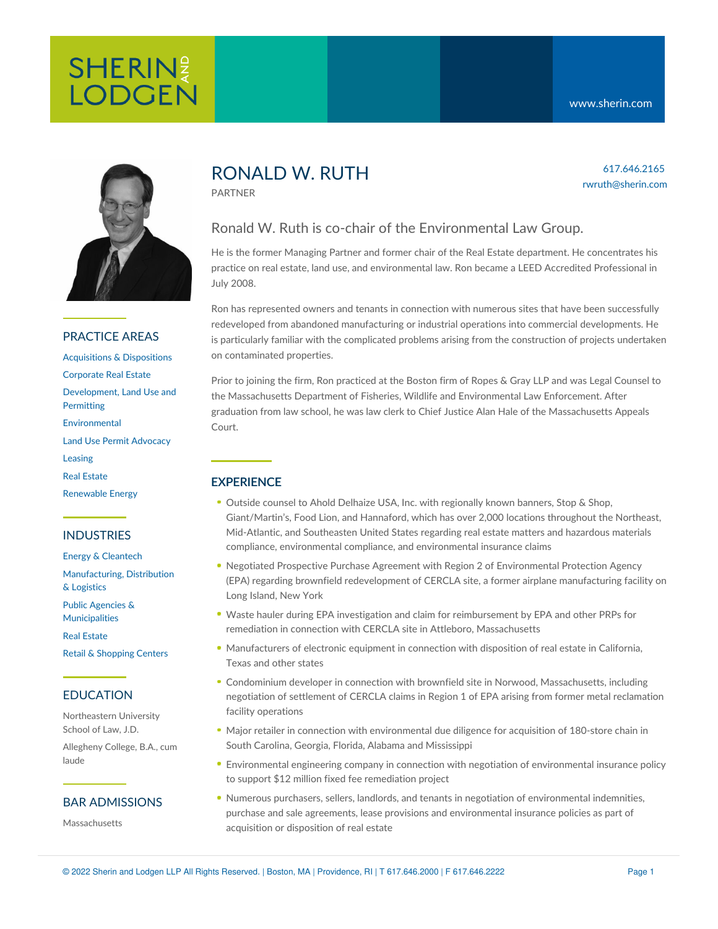# SHERINE **LODGEN**



## PRACTICE AREAS

[Acquisitions](https://www.sherin.com/practice-areas/real-estate/acquisitions-and-dispositions/) & Dispositions [Corporate](https://www.sherin.com/practice-areas/real-estate/corporate-real-estate/) Real Estate [Development,](https://www.sherin.com/practice-areas/real-estate/development/) Land Use and **Permitting** [Environmental](https://www.sherin.com/practice-areas/environmental/) Land Use Permit [Advocacy](https://www.sherin.com/practice-areas/real-estate/land-use-permit-advocacy/) [Leasing](https://www.sherin.com/practice-areas/real-estate/leasing/) Real [Estate](https://www.sherin.com/practice-areas/real-estate/) [Renewable](https://www.sherin.com/practice-areas/renewable-energy/) Energy

## INDUSTRIES

Energy & [Cleantech](https://www.sherin.com/industries/energy-and-cleantech/) [Manufacturing,](https://www.sherin.com/industries/manufacturing-distribution-and-logistics/) Distribution & Logistics

Public Agencies & [Municipalities](https://www.sherin.com/industries/public-agencies-and-municipalities/)

Real [Estate](https://www.sherin.com/industries/real-estate/)

Retail & [Shopping](https://www.sherin.com/industries/retail-shopping-centers/) Centers

## EDUCATION

Northeastern University School of Law, J.D. Allegheny College, B.A., cum

## BAR ADMISSIONS

**Massachusetts** 

laude

## RONALD W. RUTH

PARTNER

## Ronald W. Ruth is co-chair of the Environmental Law Group.

He is the former Managing Partner and former chair of the Real Estate department. He concentrates his practice on real estate, land use, and environmental law. Ron became a LEED Accredited Professional in July 2008.

Ron has represented owners and tenants in connection with numerous sites that have been successfully redeveloped from abandoned manufacturing or industrial operations into commercial developments. He is particularly familiar with the complicated problems arising from the construction of projects undertaken on contaminated properties.

Prior to joining the firm, Ron practiced at the Boston firm of Ropes & Gray LLP and was Legal Counsel to the Massachusetts Department of Fisheries, Wildlife and Environmental Law Enforcement. After graduation from law school, he was law clerk to Chief Justice Alan Hale of the Massachusetts Appeals Court.

## **EXPERIENCE**

- Outside counsel to Ahold Delhaize USA, Inc. with regionally known banners, Stop & Shop, Giant/Martin's, Food Lion, and Hannaford, which has over 2,000 locations throughout the Northeast, Mid-Atlantic, and Southeasten United States regarding real estate matters and hazardous materials compliance, environmental compliance, and environmental insurance claims
- Negotiated Prospective Purchase Agreement with Region 2 of Environmental Protection Agency (EPA) regarding brownfield redevelopment of CERCLA site, a former airplane manufacturing facility on Long Island, New York
- Waste hauler during EPA investigation and claim for reimbursement by EPA and other PRPs for remediation in connection with CERCLA site in Attleboro, Massachusetts
- Manufacturers of electronic equipment in connection with disposition of real estate in California, Texas and other states
- Condominium developer in connection with brownfield site in Norwood, Massachusetts, including negotiation of settlement of CERCLA claims in Region 1 of EPA arising from former metal reclamation facility operations
- Major retailer in connection with environmental due diligence for acquisition of 180-store chain in South Carolina, Georgia, Florida, Alabama and Mississippi
- Environmental engineering company in connection with negotiation of environmental insurance policy to support \$12 million fixed fee remediation project
- Numerous purchasers, sellers, landlords, and tenants in negotiation of environmental indemnities, purchase and sale agreements, lease provisions and environmental insurance policies as part of acquisition or disposition of real estate

617.646.2165 rwruth@sherin.com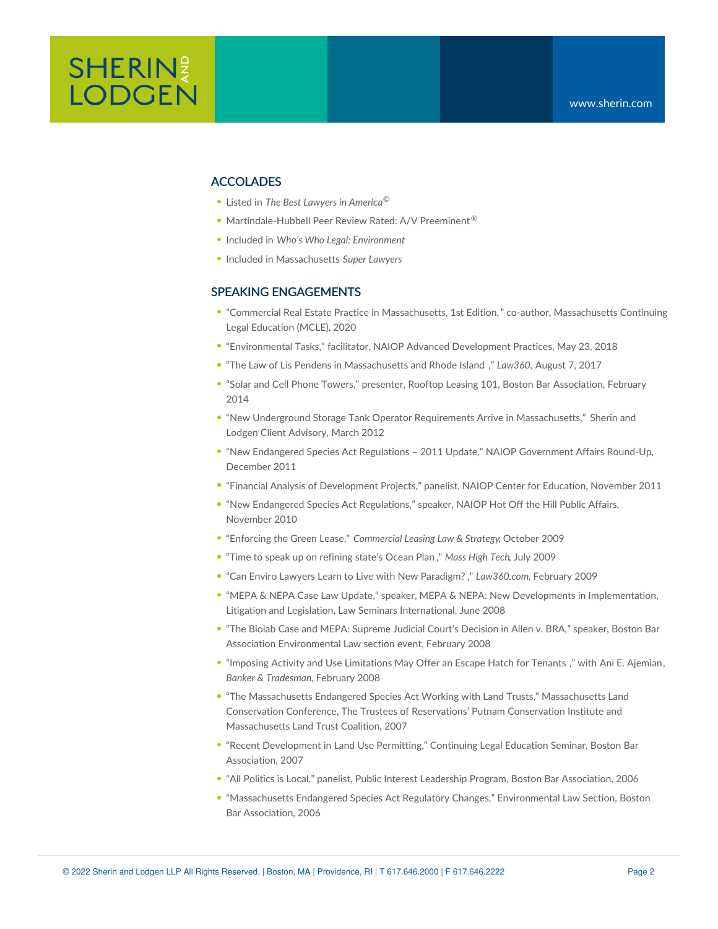## **ACCOLADES**

- Listed in *The Best Lawyers in America ©*
- Martindale-Hubbell Peer Review Rated: A/V Preeminent<sup>®</sup>
- Included in *Who's Who Legal: Environment*
- Included in Massachusetts *Super Lawyers*

#### SPEAKING ENGAGEMENTS

- "Commercial Real Estate Practice in [Massachusetts,](https://www.mcle.org/product/catalog/code/2210197B00) 1st Edition," co-author, Massachusetts Continuing Legal Education (MCLE), 2020
- "Environmental Tasks," facilitator, NAIOP Advanced Development Practices, May 23, 2018
- "The Law of Lis Pendens in [Massachusetts](https://www.sherin.com/wp-content/uploads/2017/08/The-Law-Of-Lis-Pendens-In-Massachusetts-And-Rhode-Island.pdf) and Rhode Island ," *Law360,* August 7, 2017
- "Solar and Cell Phone Towers," presenter, Rooftop Leasing 101, Boston Bar Association, February 2014
- "New Underground Storage Tank Operator Requirements Arrive in [Massachusetts,"](https://www.sherin.com/wp-content/uploads/sh_files/News/New%20Underground%20Storage%20Tank%20Operator%20Requirements%20Arrive%20in%20Massachusetts1.pdf) Sherin and Lodgen Client Advisory, March 2012
- "New Endangered Species Act Regulations 2011 Update," NAIOP Government Affairs Round-Up, December 2011
- "Financial Analysis of Development Projects," panelist, NAIOP Center for Education, November 2011
- "New Endangered Species Act Regulations," speaker, NAIOP Hot Off the Hill Public Affairs, November 2010
- "Enforcing the Green Lease," *Commercial Leasing Law & Strategy*, October 2009
- "Time to speak up on [refining](https://www.sherin.com/wp-content/uploads/sh_files/Documents/RWR_Refining_Ocean_Plan_in_MHT1.pdf) state's Ocean Plan ," *Mass High Tech*, July 2009
- "Can Enviro Lawyers Learn to Live with New [Paradigm?](https://www.sherin.com/wp-content/uploads/sh_files/Documents/RMC_Golden_Opp_for_Tech_Tenants_MHT_2.09.pdf) ," *Law360.com*, February 2009
- "MEPA & NEPA Case Law Update," speaker, MEPA & NEPA: New Developments in Implementation, Litigation and Legislation, Law Seminars International, June 2008
- "The Biolab Case and MEPA: Supreme Judicial Court's Decision in Allen v. BRA," speaker, Boston Bar Association Environmental Law section event, February 2008
- "Imposing Activity and Use [Limitations](https://www.sherin.com/wp-content/uploads/sh_files/Documents/BT_ruth_ajemian_08.pdf) May Offer an Escape Hatch for Tenants ," with Ani E. [Ajemian,](https://www.sherin.com/?t=3&A=1786&format=xml) *Banker & Tradesman*, February 2008
- "The Massachusetts Endangered Species Act Working with Land Trusts," Massachusetts Land Conservation Conference, The Trustees of Reservations' Putnam Conservation Institute and Massachusetts Land Trust Coalition, 2007
- "Recent Development in Land Use Permitting," Continuing Legal Education Seminar, Boston Bar Association, 2007
- "All Politics is Local," panelist, Public Interest Leadership Program, Boston Bar Association, 2006
- "Massachusetts Endangered Species Act Regulatory Changes," Environmental Law Section, Boston Bar Association, 2006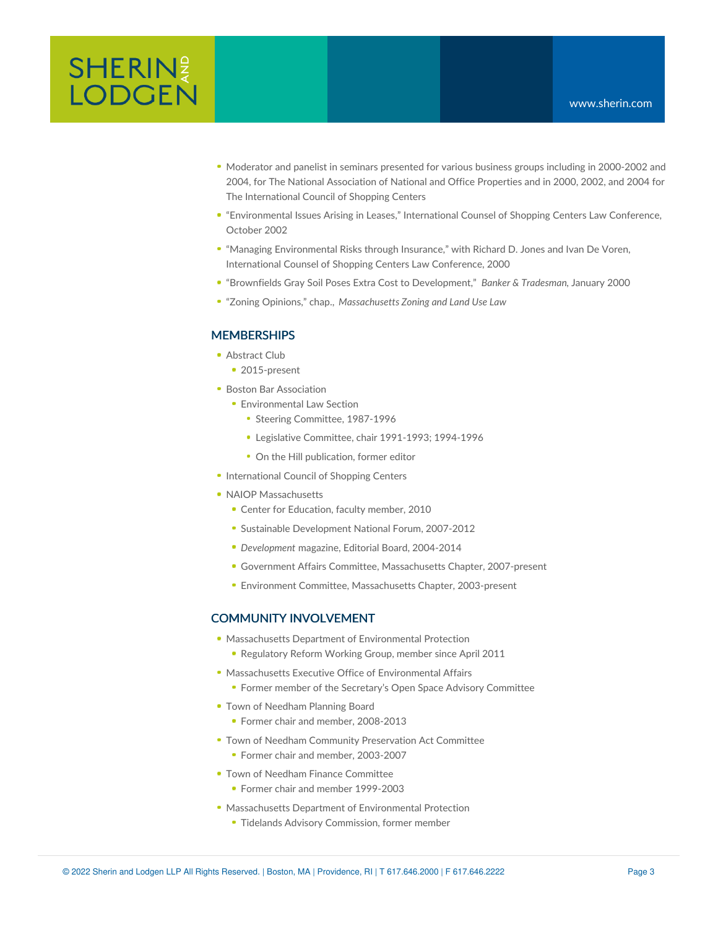- Moderator and panelist in seminars presented for various business groups including in 2000-2002 and 2004, for The National Association of National and Office Properties and in 2000, 2002, and 2004 for The International Council of Shopping Centers
- "Environmental Issues Arising in Leases," International Counsel of Shopping Centers Law Conference, October 2002
- "Managing Environmental Risks through Insurance," with Richard D. Jones and Ivan De Voren, International Counsel of Shopping Centers Law Conference, 2000
- "Brownfields Gray Soil Poses Extra Cost to Development," *Banker & Tradesman*, January 2000
- "Zoning Opinions," chap., *Massachusetts Zoning and Land Use Law*

### **MEMBERSHIPS**

- Abstract Club
	- 2015-present
- **Boston Bar [Association](http://www.bostonbar.org/)** 
	- **Environmental Law Section** 
		- **Steering Committee, 1987-1996**
		- Legislative Committee, chair 1991-1993; 1994-1996
		- On the Hill publication, former editor
- **[International](http://www.icsc.org/index.php) Council of Shopping Centers**
- NAIOP [Massachusetts](http://www.naiop.org/)
	- **Center for Education, faculty member, 2010**
	- Sustainable Development National Forum, 2007-2012
	- *Development* magazine, Editorial Board, 2004-2014
	- Government Affairs Committee, Massachusetts Chapter, 2007-present
	- Environment Committee, Massachusetts Chapter, 2003-present

#### COMMUNITY INVOLVEMENT

- [Massachusetts](http://www.mass.gov/eea/agencies/massdep/) Department of Environmental Protection • Regulatory Reform Working Group, member since April 2011
- [Massachusetts](http://www.mass.gov/eea/) Executive Office of Environmental Affairs
	- **Former member of the Secretary's Open Space Advisory Committee**
- Town of [Needham](http://www.needhamma.gov/index.aspx?NID=1114) Planning Board
	- **Former chair and member, 2008-2013**
- **Town of Needham Community Preservation Act Committee** 
	- Former chair and member, 2003-2007
- **Town of Needham Finance [Committee](http://www.needhamma.gov/index.aspx?NID=1107)** • Former chair and member 1999-2003
- [Massachusetts](http://www.mass.gov/eea/agencies/massdep/) Department of Environmental Protection
	- **Tidelands Advisory Commission, former member**